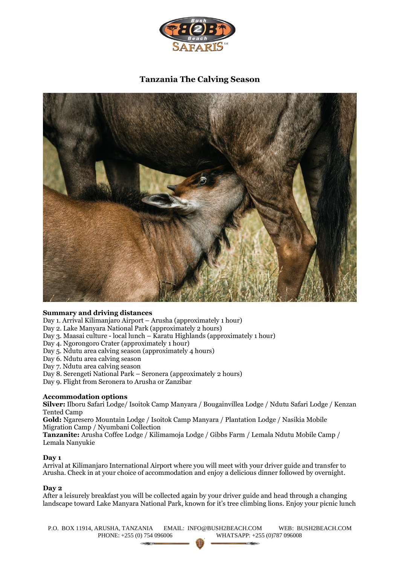

# **Tanzania The Calving Season**



# **Summary and driving distances**

Day 1. Arrival Kilimanjaro Airport – Arusha (approximately 1 hour)

Day 2. Lake Manyara National Park (approximately 2 hours)

- Day 3. Maasai culture local lunch Karatu Highlands (approximately 1 hour)
- Day 4. Ngorongoro Crater (approximately 1 hour)
- Day 5. Ndutu area calving season (approximately 4 hours)
- Day 6. Ndutu area calving season
- Day 7. Ndutu area calving season
- Day 8. Serengeti National Park Seronera (approximately 2 hours)
- Day 9. Flight from Seronera to Arusha or Zanzibar

# **Accommodation options**

**Silver:** Ilboru Safari Lodge/ Isoitok Camp Manyara / Bougainvillea Lodge / Ndutu Safari Lodge / Kenzan Tented Camp

**Gold:** Ngaresero Mountain Lodge / Isoitok Camp Manyara / Plantation Lodge / Nasikia Mobile Migration Camp / Nyumbani Collection

**Tanzanite:** Arusha Coffee Lodge / Kilimamoja Lodge / Gibbs Farm / Lemala Ndutu Mobile Camp / Lemala Nanyukie

#### **Day 1**

Arrival at Kilimanjaro International Airport where you will meet with your driver guide and transfer to Arusha. Check in at your choice of accommodation and enjoy a delicious dinner followed by overnight.

#### **Day 2**

After a leisurely breakfast you will be collected again by your driver guide and head through a changing landscape toward Lake Manyara National Park, known for it's tree climbing lions. Enjoy your picnic lunch

P.O. BOX 11914, ARUSHA, TANZANIA EMAIL: INFO@BUSH2BEACH.COM WEB: BUSH2BEACH.COM PHONE: +255 (0) 754 096006 WHATSAPP: +255 (0)787 096008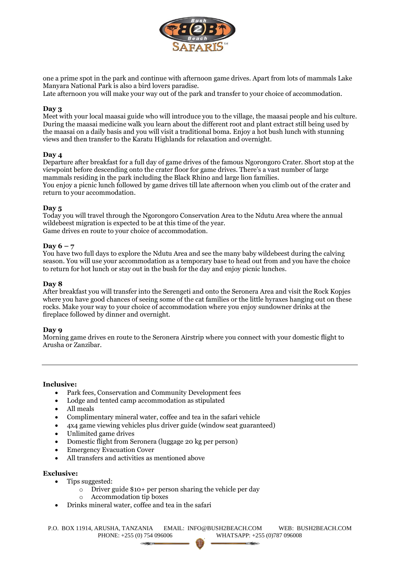

one a prime spot in the park and continue with afternoon game drives. Apart from lots of mammals Lake Manyara National Park is also a bird lovers paradise.

Late afternoon you will make your way out of the park and transfer to your choice of accommodation.

## **Day 3**

Meet with your local maasai guide who will introduce you to the village, the maasai people and his culture. During the maasai medicine walk you learn about the different root and plant extract still being used by the maasai on a daily basis and you will visit a traditional boma. Enjoy a hot bush lunch with stunning views and then transfer to the Karatu Highlands for relaxation and overnight.

## **Day 4**

Departure after breakfast for a full day of game drives of the famous Ngorongoro Crater. Short stop at the viewpoint before descending onto the crater floor for game drives. There's a vast number of large mammals residing in the park including the Black Rhino and large lion families. You enjoy a picnic lunch followed by game drives till late afternoon when you climb out of the crater and return to your accommodation.

## **Day 5**

Today you will travel through the Ngorongoro Conservation Area to the Ndutu Area where the annual wildebeest migration is expected to be at this time of the year. Game drives en route to your choice of accommodation.

## **Day 6 – 7**

You have two full days to explore the Ndutu Area and see the many baby wildebeest during the calving season. You will use your accommodation as a temporary base to head out from and you have the choice to return for hot lunch or stay out in the bush for the day and enjoy picnic lunches.

#### **Day 8**

After breakfast you will transfer into the Serengeti and onto the Seronera Area and visit the Rock Kopjes where you have good chances of seeing some of the cat families or the little hyraxes hanging out on these rocks. Make your way to your choice of accommodation where you enjoy sundowner drinks at the fireplace followed by dinner and overnight.

#### **Day 9**

Morning game drives en route to the Seronera Airstrip where you connect with your domestic flight to Arusha or Zanzibar.

## **Inclusive:**

- Park fees, Conservation and Community Development fees
- Lodge and tented camp accommodation as stipulated
- All meals
- Complimentary mineral water, coffee and tea in the safari vehicle
- 4x4 game viewing vehicles plus driver guide (window seat guaranteed)
- Unlimited game drives
- Domestic flight from Seronera (luggage 20 kg per person)
- Emergency Evacuation Cover
- All transfers and activities as mentioned above

#### **Exclusive:**

- Tips suggested:
	- o Driver guide \$10+ per person sharing the vehicle per day
	- o Accommodation tip boxes
- Drinks mineral water, coffee and tea in the safari

P.O. BOX 11914, ARUSHA, TANZANIA EMAIL: INFO@BUSH2BEACH.COM WEB: BUSH2BEACH.COM PHONE: +255 (0) 754 096006 WHATSAPP: +255 (0)787 096008